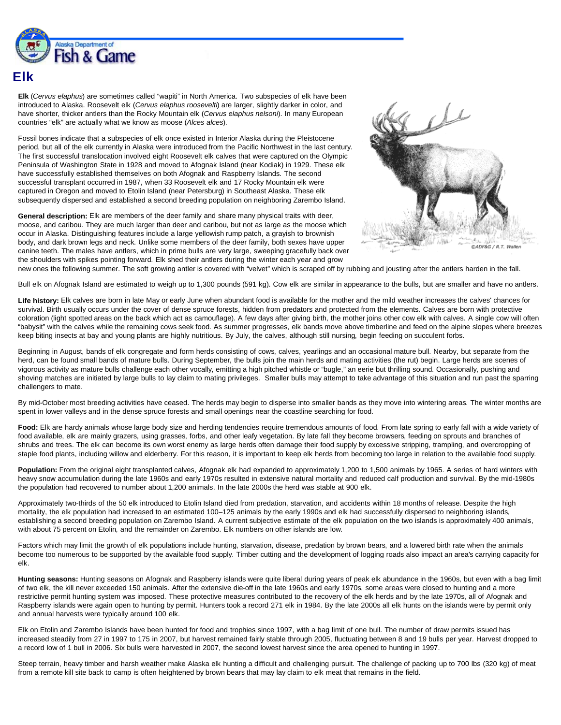

## **Elk**

**Elk** (*Cervus elaphus*) are sometimes called "wapiti" in North America. Two subspecies of elk have been introduced to Alaska. Roosevelt elk (*Cervus elaphus roosevelti*) are larger, slightly darker in color, and have shorter, thicker antlers than the Rocky Mountain elk (*Cervus elaphus nelsoni*). In many European countries "elk" are actually what we know as moose (*Alces alces*).

Fossil bones indicate that a subspecies of elk once existed in Interior Alaska during the Pleistocene period, but all of the elk currently in Alaska were introduced from the Pacific Northwest in the last century. The first successful translocation involved eight Roosevelt elk calves that were captured on the Olympic Peninsula of Washington State in 1928 and moved to Afognak Island (near Kodiak) in 1929. These elk have successfully established themselves on both Afognak and Raspberry Islands. The second successful transplant occurred in 1987, when 33 Roosevelt elk and 17 Rocky Mountain elk were captured in Oregon and moved to Etolin Island (near Petersburg) in Southeast Alaska. These elk subsequently dispersed and established a second breeding population on neighboring Zarembo Island.

**General description:** Elk are members of the deer family and share many physical traits with deer, moose, and caribou. They are much larger than deer and caribou, but not as large as the moose which occur in Alaska. Distinguishing features include a large yellowish rump patch, a grayish to brownish body, and dark brown legs and neck. Unlike some members of the deer family, both sexes have upper canine teeth. The males have antlers, which in prime bulls are very large, sweeping gracefully back over the shoulders with spikes pointing forward. Elk shed their antlers during the winter each year and grow



new ones the following summer. The soft growing antler is covered with "velvet" which is scraped off by rubbing and jousting after the antlers harden in the fall.

Bull elk on Afognak Island are estimated to weigh up to 1,300 pounds (591 kg). Cow elk are similar in appearance to the bulls, but are smaller and have no antlers.

**Life history:** Elk calves are born in late May or early June when abundant food is available for the mother and the mild weather increases the calves' chances for survival. Birth usually occurs under the cover of dense spruce forests, hidden from predators and protected from the elements. Calves are born with protective coloration (light spotted areas on the back which act as camouflage). A few days after giving birth, the mother joins other cow elk with calves. A single cow will often "babysit" with the calves while the remaining cows seek food. As summer progresses, elk bands move above timberline and feed on the alpine slopes where breezes keep biting insects at bay and young plants are highly nutritious. By July, the calves, although still nursing, begin feeding on succulent forbs.

Beginning in August, bands of elk congregate and form herds consisting of cows, calves, yearlings and an occasional mature bull. Nearby, but separate from the herd, can be found small bands of mature bulls. During September, the bulls join the main herds and mating activities (the rut) begin. Large herds are scenes of vigorous activity as mature bulls challenge each other vocally, emitting a high pitched whistle or "bugle," an eerie but thrilling sound. Occasionally, pushing and shoving matches are initiated by large bulls to lay claim to mating privileges. Smaller bulls may attempt to take advantage of this situation and run past the sparring challengers to mate.

By mid-October most breeding activities have ceased. The herds may begin to disperse into smaller bands as they move into wintering areas. The winter months are spent in lower valleys and in the dense spruce forests and small openings near the coastline searching for food.

Food: Elk are hardy animals whose large body size and herding tendencies require tremendous amounts of food. From late spring to early fall with a wide variety of food available, elk are mainly grazers, using grasses, forbs, and other leafy vegetation. By late fall they become browsers, feeding on sprouts and branches of shrubs and trees. The elk can become its own worst enemy as large herds often damage their food supply by excessive stripping, trampling, and overcropping of staple food plants, including willow and elderberry. For this reason, it is important to keep elk herds from becoming too large in relation to the available food supply.

Population: From the original eight transplanted calves, Afognak elk had expanded to approximately 1,200 to 1,500 animals by 1965. A series of hard winters with heavy snow accumulation during the late 1960s and early 1970s resulted in extensive natural mortality and reduced calf production and survival. By the mid-1980s the population had recovered to number about 1,200 animals. In the late 2000s the herd was stable at 900 elk.

Approximately two-thirds of the 50 elk introduced to Etolin Island died from predation, starvation, and accidents within 18 months of release. Despite the high mortality, the elk population had increased to an estimated 100–125 animals by the early 1990s and elk had successfully dispersed to neighboring islands, establishing a second breeding population on Zarembo Island. A current subjective estimate of the elk population on the two islands is approximately 400 animals, with about 75 percent on Etolin, and the remainder on Zarembo. Elk numbers on other islands are low.

Factors which may limit the growth of elk populations include hunting, starvation, disease, predation by brown bears, and a lowered birth rate when the animals become too numerous to be supported by the available food supply. Timber cutting and the development of logging roads also impact an area's carrying capacity for elk.

**Hunting seasons:** Hunting seasons on Afognak and Raspberry islands were quite liberal during years of peak elk abundance in the 1960s, but even with a bag limit of two elk, the kill never exceeded 150 animals. After the extensive die-off in the late 1960s and early 1970s, some areas were closed to hunting and a more restrictive permit hunting system was imposed. These protective measures contributed to the recovery of the elk herds and by the late 1970s, all of Afognak and Raspberry islands were again open to hunting by permit. Hunters took a record 271 elk in 1984. By the late 2000s all elk hunts on the islands were by permit only and annual harvests were typically around 100 elk.

Elk on Etolin and Zarembo Islands have been hunted for food and trophies since 1997, with a bag limit of one bull. The number of draw permits issued has increased steadily from 27 in 1997 to 175 in 2007, but harvest remained fairly stable through 2005, fluctuating between 8 and 19 bulls per year. Harvest dropped to a record low of 1 bull in 2006. Six bulls were harvested in 2007, the second lowest harvest since the area opened to hunting in 1997.

Steep terrain, heavy timber and harsh weather make Alaska elk hunting a difficult and challenging pursuit. The challenge of packing up to 700 lbs (320 kg) of meat from a remote kill site back to camp is often heightened by brown bears that may lay claim to elk meat that remains in the field.